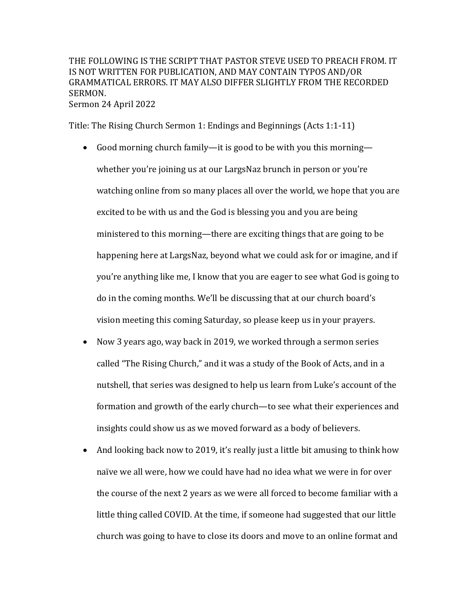THE FOLLOWING IS THE SCRIPT THAT PASTOR STEVE USED TO PREACH FROM. IT IS NOT WRITTEN FOR PUBLICATION, AND MAY CONTAIN TYPOS AND/OR GRAMMATICAL ERRORS. IT MAY ALSO DIFFER SLIGHTLY FROM THE RECORDED SERMON. Sermon 24 April 2022

Title: The Rising Church Sermon 1: Endings and Beginnings (Acts 1:1-11)

- Good morning church family—it is good to be with you this morning whether you're joining us at our LargsNaz brunch in person or you're watching online from so many places all over the world, we hope that you are excited to be with us and the God is blessing you and you are being ministered to this morning—there are exciting things that are going to be happening here at LargsNaz, beyond what we could ask for or imagine, and if you're anything like me, I know that you are eager to see what God is going to do in the coming months. We'll be discussing that at our church board's vision meeting this coming Saturday, so please keep us in your prayers.
- Now 3 years ago, way back in 2019, we worked through a sermon series called "The Rising Church," and it was a study of the Book of Acts, and in a nutshell, that series was designed to help us learn from Luke's account of the formation and growth of the early church—to see what their experiences and insights could show us as we moved forward as a body of believers.
- And looking back now to 2019, it's really just a little bit amusing to think how naïve we all were, how we could have had no idea what we were in for over the course of the next 2 years as we were all forced to become familiar with a little thing called COVID. At the time, if someone had suggested that our little church was going to have to close its doors and move to an online format and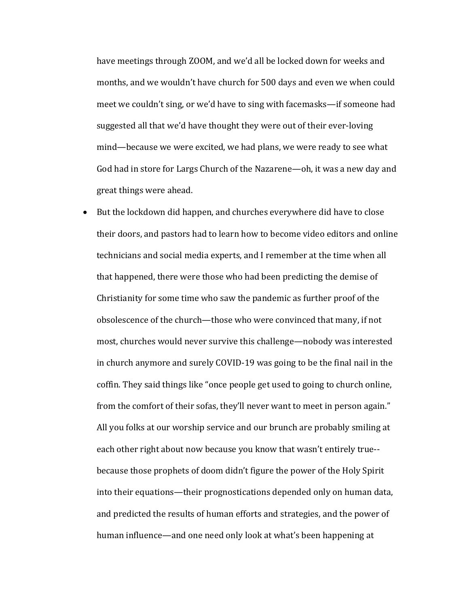have meetings through ZOOM, and we'd all be locked down for weeks and months, and we wouldn't have church for 500 days and even we when could meet we couldn't sing, or we'd have to sing with facemasks—if someone had suggested all that we'd have thought they were out of their ever-loving mind—because we were excited, we had plans, we were ready to see what God had in store for Largs Church of the Nazarene—oh, it was a new day and great things were ahead.

• But the lockdown did happen, and churches everywhere did have to close their doors, and pastors had to learn how to become video editors and online technicians and social media experts, and I remember at the time when all that happened, there were those who had been predicting the demise of Christianity for some time who saw the pandemic as further proof of the obsolescence of the church—those who were convinced that many, if not most, churches would never survive this challenge—nobody was interested in church anymore and surely COVID-19 was going to be the final nail in the coffin. They said things like "once people get used to going to church online, from the comfort of their sofas, they'll never want to meet in person again." All you folks at our worship service and our brunch are probably smiling at each other right about now because you know that wasn't entirely true-because those prophets of doom didn't figure the power of the Holy Spirit into their equations—their prognostications depended only on human data, and predicted the results of human efforts and strategies, and the power of human influence—and one need only look at what's been happening at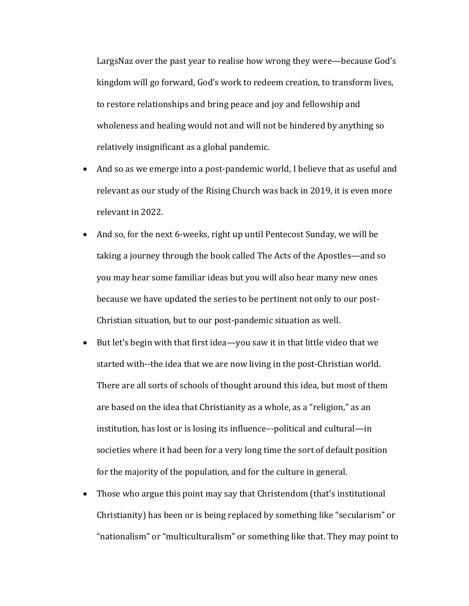LargsNaz over the past year to realise how wrong they were—because God's kingdom will go forward, God's work to redeem creation, to transform lives, to restore relationships and bring peace and joy and fellowship and wholeness and healing would not and will not be hindered by anything so relatively insignificant as a global pandemic.

- And so as we emerge into a post-pandemic world, I believe that as useful and relevant as our study of the Rising Church was back in 2019, it is even more relevant in 2022.
- And so, for the next 6-weeks, right up until Pentecost Sunday, we will be taking a journey through the book called The Acts of the Apostles—and so you may hear some familiar ideas but you will also hear many new ones because we have updated the series to be pertinent not only to our post-Christian situation, but to our post-pandemic situation as well.
- But let's begin with that first idea—you saw it in that little video that we started with--the idea that we are now living in the post-Christian world. There are all sorts of schools of thought around this idea, but most of them are based on the idea that Christianity as a whole, as a "religion," as an institution, has lost or is losing its influence--political and cultural—in societies where it had been for a very long time the sort of default position for the majority of the population, and for the culture in general.
- Those who argue this point may say that Christendom (that's institutional Christianity) has been or is being replaced by something like "secularism" or "nationalism" or "multiculturalism" or something like that. They may point to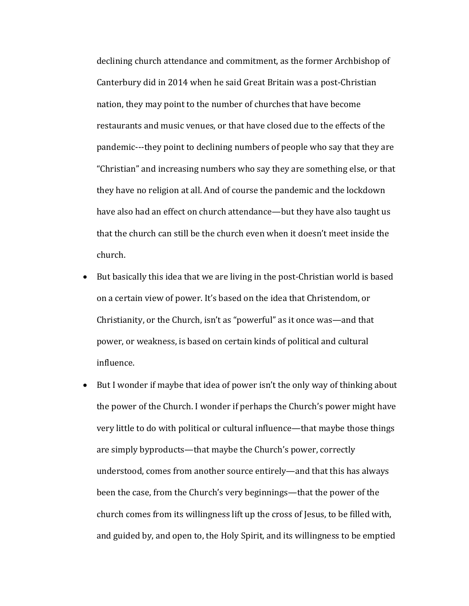declining church attendance and commitment, as the former Archbishop of Canterbury did in 2014 when he said Great Britain was a post-Christian nation, they may point to the number of churches that have become restaurants and music venues, or that have closed due to the effects of the pandemic---they point to declining numbers of people who say that they are "Christian" and increasing numbers who say they are something else, or that they have no religion at all. And of course the pandemic and the lockdown have also had an effect on church attendance—but they have also taught us that the church can still be the church even when it doesn't meet inside the church.

- But basically this idea that we are living in the post-Christian world is based on a certain view of power. It's based on the idea that Christendom, or Christianity, or the Church, isn't as "powerful" as it once was—and that power, or weakness, is based on certain kinds of political and cultural influence.
- But I wonder if maybe that idea of power isn't the only way of thinking about the power of the Church. I wonder if perhaps the Church's power might have very little to do with political or cultural influence—that maybe those things are simply byproducts—that maybe the Church's power, correctly understood, comes from another source entirely—and that this has always been the case, from the Church's very beginnings—that the power of the church comes from its willingness lift up the cross of Jesus, to be filled with, and guided by, and open to, the Holy Spirit, and its willingness to be emptied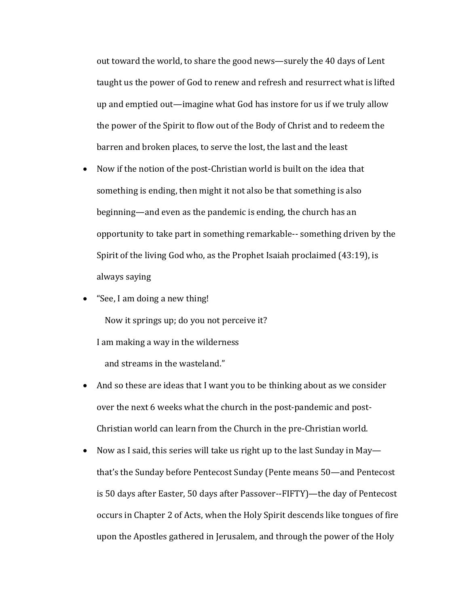out toward the world, to share the good news—surely the 40 days of Lent taught us the power of God to renew and refresh and resurrect what is lifted up and emptied out—imagine what God has instore for us if we truly allow the power of the Spirit to flow out of the Body of Christ and to redeem the barren and broken places, to serve the lost, the last and the least

- Now if the notion of the post-Christian world is built on the idea that something is ending, then might it not also be that something is also beginning—and even as the pandemic is ending, the church has an opportunity to take part in something remarkable-- something driven by the Spirit of the living God who, as the Prophet Isaiah proclaimed  $(43:19)$ , is always saying
- "See, I am doing a new thing!

Now it springs up; do you not perceive it? I am making a way in the wilderness and streams in the wasteland."

- And so these are ideas that I want you to be thinking about as we consider over the next 6 weeks what the church in the post-pandemic and post-Christian world can learn from the Church in the pre-Christian world.
- Now as I said, this series will take us right up to the last Sunday in May that's the Sunday before Pentecost Sunday (Pente means 50—and Pentecost is 50 days after Easter, 50 days after Passover--FIFTY)—the day of Pentecost occurs in Chapter 2 of Acts, when the Holy Spirit descends like tongues of fire upon the Apostles gathered in Jerusalem, and through the power of the Holy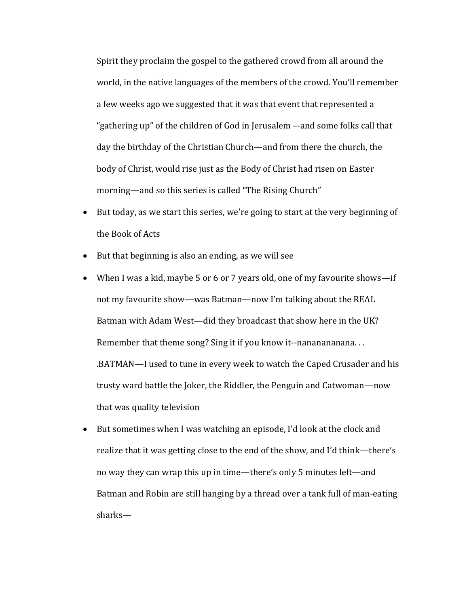Spirit they proclaim the gospel to the gathered crowd from all around the world, in the native languages of the members of the crowd. You'll remember a few weeks ago we suggested that it was that event that represented a "gathering up" of the children of God in Jerusalem --and some folks call that day the birthday of the Christian Church—and from there the church, the body of Christ, would rise just as the Body of Christ had risen on Easter morning—and so this series is called "The Rising Church"

- But today, as we start this series, we're going to start at the very beginning of the Book of Acts
- But that beginning is also an ending, as we will see
- When I was a kid, maybe 5 or 6 or 7 years old, one of my favourite shows—if not my favourite show—was Batman—now I'm talking about the REAL Batman with Adam West—did they broadcast that show here in the UK? Remember that theme song? Sing it if you know it--nananananana... .BATMAN—I used to tune in every week to watch the Caped Crusader and his trusty ward battle the Joker, the Riddler, the Penguin and Catwoman—now that was quality television
- But sometimes when I was watching an episode, I'd look at the clock and realize that it was getting close to the end of the show, and I'd think—there's no way they can wrap this up in time—there's only 5 minutes left—and Batman and Robin are still hanging by a thread over a tank full of man-eating sharks—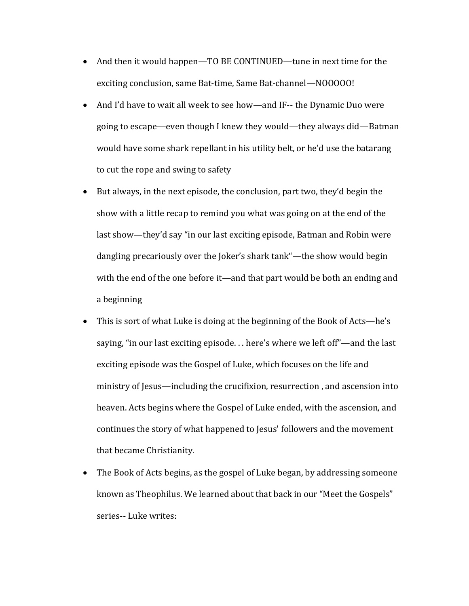- And then it would happen—TO BE CONTINUED—tune in next time for the exciting conclusion, same Bat-time, Same Bat-channel—NOOOOO!
- And I'd have to wait all week to see how—and IF-- the Dynamic Duo were going to escape—even though I knew they would—they always did—Batman would have some shark repellant in his utility belt, or he'd use the batarang to cut the rope and swing to safety
- But always, in the next episode, the conclusion, part two, they'd begin the show with a little recap to remind you what was going on at the end of the last show—they'd say "in our last exciting episode, Batman and Robin were dangling precariously over the Joker's shark tank"—the show would begin with the end of the one before it—and that part would be both an ending and a beginning
- This is sort of what Luke is doing at the beginning of the Book of Acts—he's saying, "in our last exciting episode... here's where we left off"—and the last exciting episode was the Gospel of Luke, which focuses on the life and ministry of Jesus—including the crucifixion, resurrection, and ascension into heaven. Acts begins where the Gospel of Luke ended, with the ascension, and continues the story of what happened to Jesus' followers and the movement that became Christianity.
- The Book of Acts begins, as the gospel of Luke began, by addressing someone known as Theophilus. We learned about that back in our "Meet the Gospels" series-- Luke writes: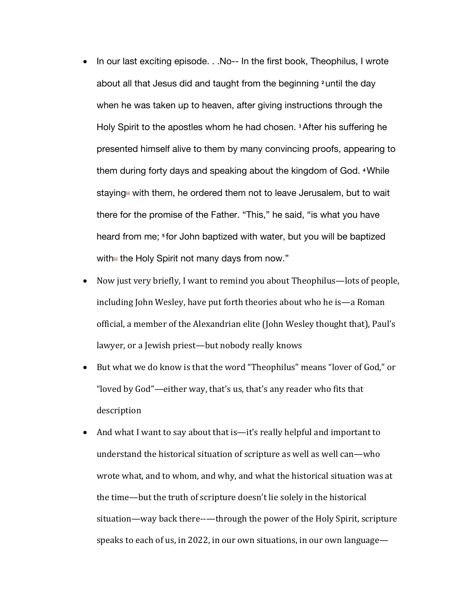- In our last exciting episode. . .No-- In the first book, Theophilus, I wrote about all that Jesus did and taught from the beginning **<sup>2</sup>** until the day when he was taken up to heaven, after giving instructions through the Holy Spirit to the apostles whom he had chosen. **<sup>3</sup>**After his suffering he presented himself alive to them by many convincing proofs, appearing to them during forty days and speaking about the kingdom of God. **<sup>4</sup>**While staying<sup>®</sup> with them, he ordered them not to leave Jerusalem, but to wait there for the promise of the Father. "This," he said, "is what you have heard from me; **<sup>5</sup>** for John baptized with water, but you will be baptized with $\mathbf{b}$  the Holy Spirit not many days from now."
- Now just very briefly, I want to remind you about Theophilus—lots of people, including John Wesley, have put forth theories about who he is—a Roman official, a member of the Alexandrian elite (John Wesley thought that), Paul's lawyer, or a Jewish priest—but nobody really knows
- But what we do know is that the word "Theophilus" means "lover of God," or "loved by  $God$ "—either way, that's us, that's any reader who fits that description
- And what I want to say about that is—it's really helpful and important to understand the historical situation of scripture as well as well can—who wrote what, and to whom, and why, and what the historical situation was at the time—but the truth of scripture doesn't lie solely in the historical situation—way back there--—through the power of the Holy Spirit, scripture speaks to each of us, in 2022, in our own situations, in our own language—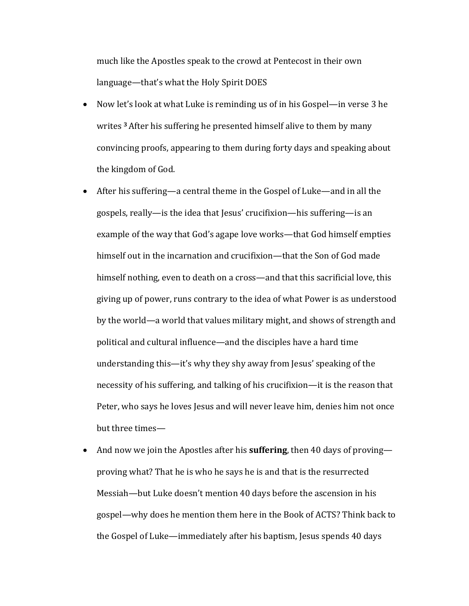much like the Apostles speak to the crowd at Pentecost in their own language—that's what the Holy Spirit DOES

- Now let's look at what Luke is reminding us of in his Gospel—in verse 3 he writes <sup>3</sup> After his suffering he presented himself alive to them by many convincing proofs, appearing to them during forty days and speaking about the kingdom of God.
- After his suffering—a central theme in the Gospel of Luke—and in all the gospels, really—is the idea that Jesus' crucifixion—his suffering—is an example of the way that God's agape love works—that God himself empties himself out in the incarnation and crucifixion—that the Son of God made himself nothing, even to death on a cross—and that this sacrificial love, this giving up of power, runs contrary to the idea of what Power is as understood by the world—a world that values military might, and shows of strength and political and cultural influence—and the disciples have a hard time understanding this—it's why they shy away from Jesus' speaking of the necessity of his suffering, and talking of his crucifixion—it is the reason that Peter, who says he loves Jesus and will never leave him, denies him not once but three times-
- And now we join the Apostles after his **suffering**, then 40 days of proving proving what? That he is who he says he is and that is the resurrected Messiah—but Luke doesn't mention 40 days before the ascension in his gospel—why does he mention them here in the Book of ACTS? Think back to the Gospel of Luke—immediately after his baptism, Jesus spends 40 days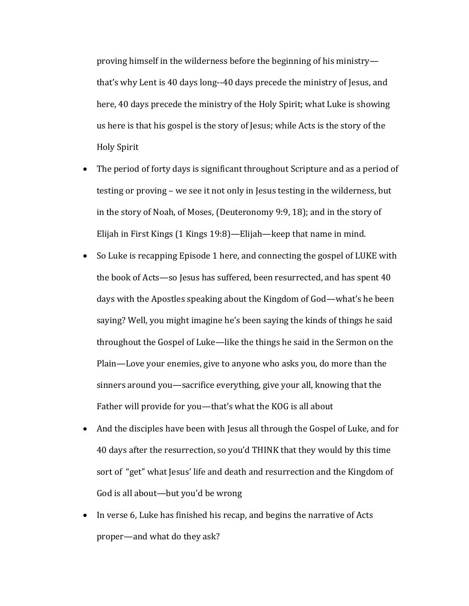proving himself in the wilderness before the beginning of his ministry that's why Lent is 40 days long--40 days precede the ministry of Jesus, and here, 40 days precede the ministry of the Holy Spirit; what Luke is showing us here is that his gospel is the story of Jesus; while Acts is the story of the Holy Spirit

- The period of forty days is significant throughout Scripture and as a period of testing or proving – we see it not only in Jesus testing in the wilderness, but in the story of Noah, of Moses, (Deuteronomy 9:9, 18); and in the story of Elijah in First Kings  $(1$  Kings  $19:8$ )—Elijah—keep that name in mind.
- So Luke is recapping Episode 1 here, and connecting the gospel of LUKE with the book of Acts-so Jesus has suffered, been resurrected, and has spent 40 days with the Apostles speaking about the Kingdom of God—what's he been saying? Well, you might imagine he's been saying the kinds of things he said throughout the Gospel of Luke—like the things he said in the Sermon on the Plain—Love your enemies, give to anyone who asks you, do more than the sinners around you—sacrifice everything, give your all, knowing that the Father will provide for you—that's what the KOG is all about
- And the disciples have been with Jesus all through the Gospel of Luke, and for 40 days after the resurrection, so you'd THINK that they would by this time sort of "get" what Jesus' life and death and resurrection and the Kingdom of God is all about—but you'd be wrong
- In verse 6, Luke has finished his recap, and begins the narrative of Acts proper—and what do they ask?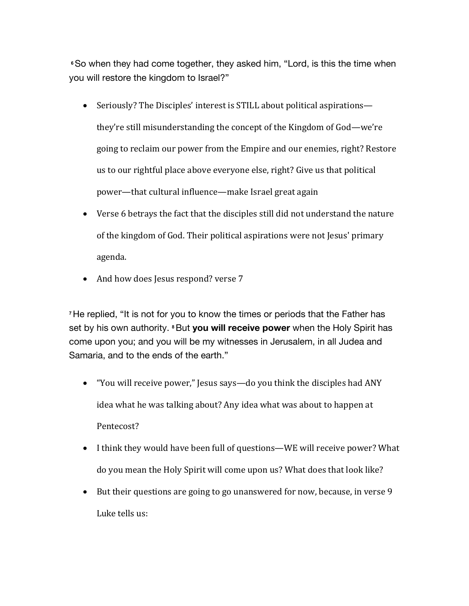**<sup>6</sup>**So when they had come together, they asked him, "Lord, is this the time when you will restore the kingdom to Israel?"

- Seriously? The Disciples' interest is STILL about political aspirations they're still misunderstanding the concept of the Kingdom of God—we're going to reclaim our power from the Empire and our enemies, right? Restore us to our rightful place above everyone else, right? Give us that political power—that cultural influence—make Israel great again
- Verse 6 betrays the fact that the disciples still did not understand the nature of the kingdom of God. Their political aspirations were not Jesus' primary agenda.
- And how does Jesus respond? verse 7

**<sup>7</sup>**He replied, "It is not for you to know the times or periods that the Father has set by his own authority. **<sup>8</sup>**But **you will receive power** when the Holy Spirit has come upon you; and you will be my witnesses in Jerusalem, in all Judea and Samaria, and to the ends of the earth."

- "You will receive power," Jesus says—do you think the disciples had ANY idea what he was talking about? Any idea what was about to happen at Pentecost?
- I think they would have been full of questions—WE will receive power? What do you mean the Holy Spirit will come upon us? What does that look like?
- But their questions are going to go unanswered for now, because, in verse 9 Luke tells us: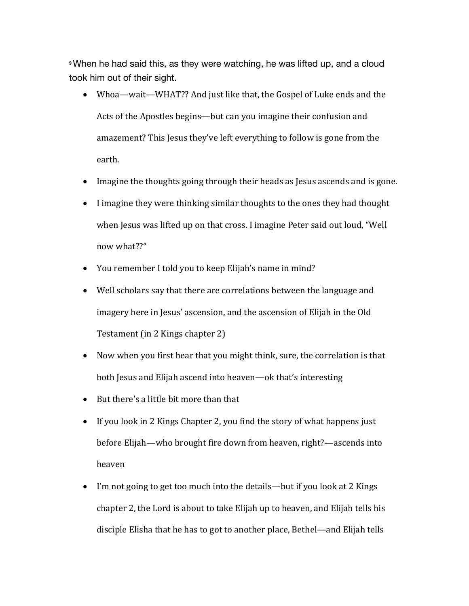**<sup>9</sup>**When he had said this, as they were watching, he was lifted up, and a cloud took him out of their sight.

- Whoa—wait—WHAT?? And just like that, the Gospel of Luke ends and the Acts of the Apostles begins—but can you imagine their confusion and amazement? This Jesus they've left everything to follow is gone from the earth.
- Imagine the thoughts going through their heads as Jesus ascends and is gone.
- I imagine they were thinking similar thoughts to the ones they had thought when Jesus was lifted up on that cross. I imagine Peter said out loud, "Well now what??"
- You remember I told you to keep Elijah's name in mind?
- Well scholars say that there are correlations between the language and imagery here in Jesus' ascension, and the ascension of Elijah in the Old Testament (in 2 Kings chapter 2)
- Now when you first hear that you might think, sure, the correlation is that both Jesus and Elijah ascend into heaven—ok that's interesting
- But there's a little bit more than that
- If you look in 2 Kings Chapter 2, you find the story of what happens just before Elijah—who brought fire down from heaven, right?—ascends into heaven
- I'm not going to get too much into the details—but if you look at 2 Kings chapter 2, the Lord is about to take Elijah up to heaven, and Elijah tells his disciple Elisha that he has to got to another place, Bethel—and Elijah tells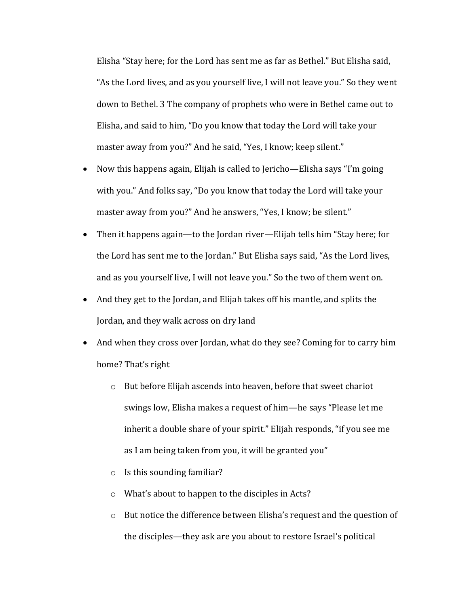Elisha "Stay here; for the Lord has sent me as far as Bethel." But Elisha said, "As the Lord lives, and as you yourself live, I will not leave you." So they went down to Bethel. 3 The company of prophets who were in Bethel came out to Elisha, and said to him, "Do you know that today the Lord will take your master away from you?" And he said, "Yes, I know; keep silent."

- Now this happens again, Elijah is called to Jericho—Elisha says "I'm going with you." And folks say, "Do you know that today the Lord will take your master away from you?" And he answers, "Yes, I know; be silent."
- Then it happens again—to the Jordan river—Elijah tells him "Stay here; for the Lord has sent me to the Jordan." But Elisha says said, "As the Lord lives, and as you yourself live, I will not leave you." So the two of them went on.
- And they get to the Jordan, and Elijah takes off his mantle, and splits the Jordan, and they walk across on dry land
- And when they cross over Jordan, what do they see? Coming for to carry him home? That's right
	- $\circ$  But before Elijah ascends into heaven, before that sweet chariot swings low, Elisha makes a request of him—he says "Please let me inherit a double share of your spirit." Elijah responds, "if you see me as I am being taken from you, it will be granted you"
	- $\circ$  Is this sounding familiar?
	- $\circ$  What's about to happen to the disciples in Acts?
	- $\circ$  But notice the difference between Elisha's request and the question of the disciples—they ask are you about to restore Israel's political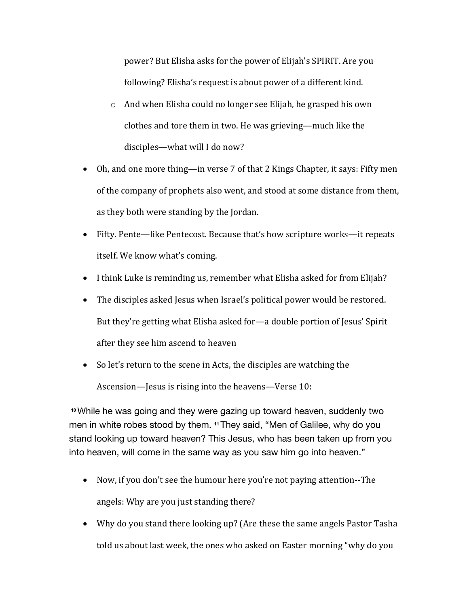power? But Elisha asks for the power of Elijah's SPIRIT. Are you following? Elisha's request is about power of a different kind.

- $\circ$  And when Elisha could no longer see Elijah, he grasped his own clothes and tore them in two. He was grieving—much like the disciples—what will I do now?
- Oh, and one more thing—in verse 7 of that 2 Kings Chapter, it says: Fifty men of the company of prophets also went, and stood at some distance from them, as they both were standing by the Jordan.
- Fifty. Pente—like Pentecost. Because that's how scripture works—it repeats itself. We know what's coming.
- I think Luke is reminding us, remember what Elisha asked for from Elijah?
- The disciples asked Jesus when Israel's political power would be restored. But they're getting what Elisha asked for—a double portion of Jesus' Spirit after they see him ascend to heaven
- So let's return to the scene in Acts, the disciples are watching the Ascension—Jesus is rising into the heavens—Verse 10:

**<sup>10</sup>**While he was going and they were gazing up toward heaven, suddenly two men in white robes stood by them. **<sup>11</sup>**They said, "Men of Galilee, why do you stand looking up toward heaven? This Jesus, who has been taken up from you into heaven, will come in the same way as you saw him go into heaven."

- Now, if you don't see the humour here you're not paying attention--The angels: Why are you just standing there?
- Why do you stand there looking up? (Are these the same angels Pastor Tasha told us about last week, the ones who asked on Easter morning "why do you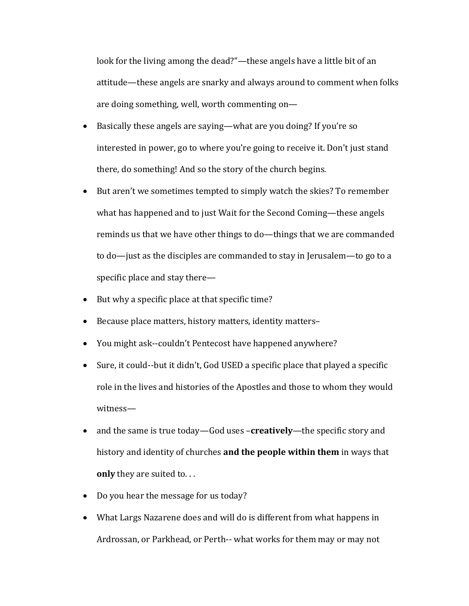look for the living among the dead?"—these angels have a little bit of an attitude—these angels are snarky and always around to comment when folks are doing something, well, worth commenting on-

- Basically these angels are saying—what are you doing? If you're so interested in power, go to where you're going to receive it. Don't just stand there, do something! And so the story of the church begins.
- But aren't we sometimes tempted to simply watch the skies? To remember what has happened and to just Wait for the Second Coming—these angels reminds us that we have other things to do—things that we are commanded to do—just as the disciples are commanded to stay in Jerusalem—to go to a specific place and stay there $-$
- But why a specific place at that specific time?
- Because place matters, history matters, identity matters-
- You might ask--couldn't Pentecost have happened anywhere?
- Sure, it could--but it didn't, God USED a specific place that played a specific role in the lives and histories of the Apostles and those to whom they would witness—
- and the same is true today—God uses -creatively—the specific story and history and identity of churches **and the people within them** in ways that **only** they are suited to...
- Do you hear the message for us today?
- What Largs Nazarene does and will do is different from what happens in Ardrossan, or Parkhead, or Perth-- what works for them may or may not